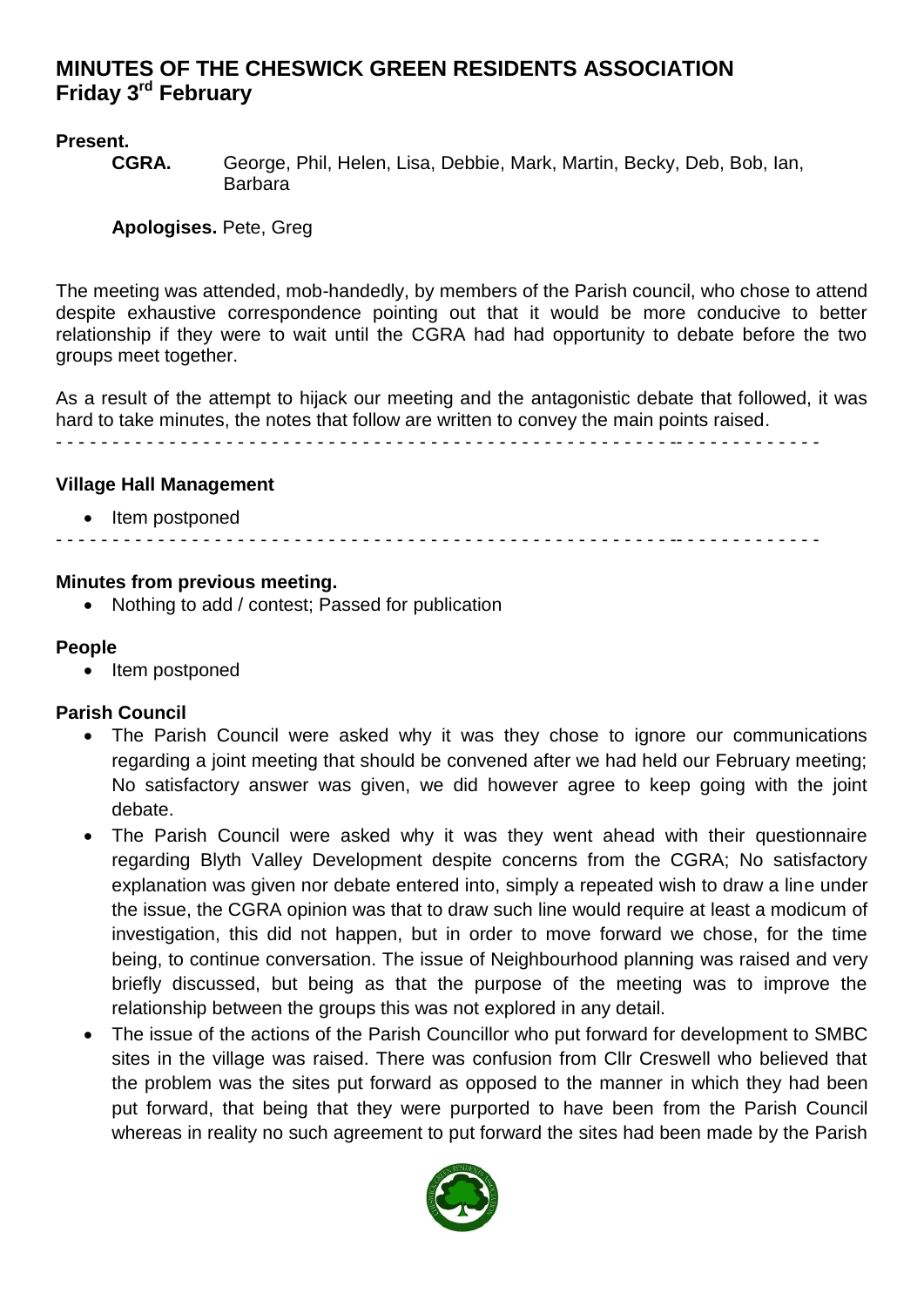# **MINUTES OF THE CHESWICK GREEN RESIDENTS ASSOCIATION Friday 3<sup>rd</sup> February**

# **Present.**

**CGRA.** George, Phil, Helen, Lisa, Debbie, Mark, Martin, Becky, Deb, Bob, Ian, Barbara

**Apologises.** Pete, Greg

The meeting was attended, mob-handedly, by members of the Parish council, who chose to attend despite exhaustive correspondence pointing out that it would be more conducive to better relationship if they were to wait until the CGRA had had opportunity to debate before the two groups meet together.

As a result of the attempt to hijack our meeting and the antagonistic debate that followed, it was hard to take minutes, the notes that follow are written to convey the main points raised.

- - - - - - - - - - - - - - - - - - - - - - - - - - - - - - - - - - - - - - - - - - - - - - - - - - - - - - -- - - - - - - - - - - - -

#### **Village Hall Management**

• Item postponed

- - - - - - - - - - - - - - - - - - - - - - - - - - - - - - - - - - - - - - - - - - - - - - - - - - - - - - -- - - - - - - - - - - - -

#### **Minutes from previous meeting.**

Nothing to add / contest; Passed for publication

#### **People**

• Item postponed

### **Parish Council**

- The Parish Council were asked why it was they chose to ignore our communications regarding a joint meeting that should be convened after we had held our February meeting; No satisfactory answer was given, we did however agree to keep going with the joint debate.
- The Parish Council were asked why it was they went ahead with their questionnaire regarding Blyth Valley Development despite concerns from the CGRA; No satisfactory explanation was given nor debate entered into, simply a repeated wish to draw a line under the issue, the CGRA opinion was that to draw such line would require at least a modicum of investigation, this did not happen, but in order to move forward we chose, for the time being, to continue conversation. The issue of Neighbourhood planning was raised and very briefly discussed, but being as that the purpose of the meeting was to improve the relationship between the groups this was not explored in any detail.
- The issue of the actions of the Parish Councillor who put forward for development to SMBC sites in the village was raised. There was confusion from Cllr Creswell who believed that the problem was the sites put forward as opposed to the manner in which they had been put forward, that being that they were purported to have been from the Parish Council whereas in reality no such agreement to put forward the sites had been made by the Parish

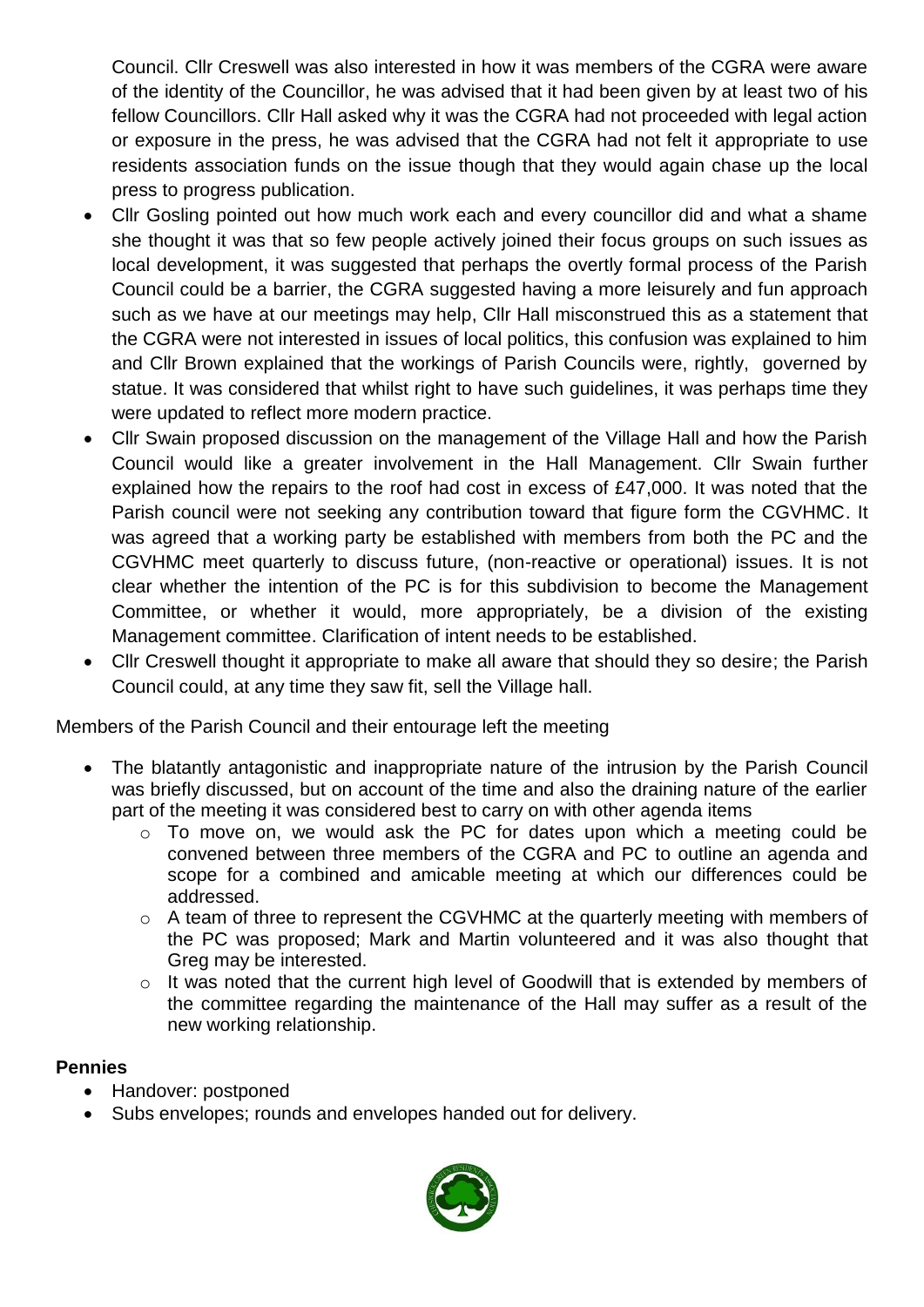Council. Cllr Creswell was also interested in how it was members of the CGRA were aware of the identity of the Councillor, he was advised that it had been given by at least two of his fellow Councillors. Cllr Hall asked why it was the CGRA had not proceeded with legal action or exposure in the press, he was advised that the CGRA had not felt it appropriate to use residents association funds on the issue though that they would again chase up the local press to progress publication.

- Cllr Gosling pointed out how much work each and every councillor did and what a shame she thought it was that so few people actively joined their focus groups on such issues as local development, it was suggested that perhaps the overtly formal process of the Parish Council could be a barrier, the CGRA suggested having a more leisurely and fun approach such as we have at our meetings may help, Cllr Hall misconstrued this as a statement that the CGRA were not interested in issues of local politics, this confusion was explained to him and Cllr Brown explained that the workings of Parish Councils were, rightly, governed by statue. It was considered that whilst right to have such guidelines, it was perhaps time they were updated to reflect more modern practice.
- Cllr Swain proposed discussion on the management of the Village Hall and how the Parish Council would like a greater involvement in the Hall Management. Cllr Swain further explained how the repairs to the roof had cost in excess of £47,000. It was noted that the Parish council were not seeking any contribution toward that figure form the CGVHMC. It was agreed that a working party be established with members from both the PC and the CGVHMC meet quarterly to discuss future, (non-reactive or operational) issues. It is not clear whether the intention of the PC is for this subdivision to become the Management Committee, or whether it would, more appropriately, be a division of the existing Management committee. Clarification of intent needs to be established.
- Cllr Creswell thought it appropriate to make all aware that should they so desire; the Parish Council could, at any time they saw fit, sell the Village hall.

Members of the Parish Council and their entourage left the meeting

- The blatantly antagonistic and inappropriate nature of the intrusion by the Parish Council was briefly discussed, but on account of the time and also the draining nature of the earlier part of the meeting it was considered best to carry on with other agenda items
	- o To move on, we would ask the PC for dates upon which a meeting could be convened between three members of the CGRA and PC to outline an agenda and scope for a combined and amicable meeting at which our differences could be addressed.
	- o A team of three to represent the CGVHMC at the quarterly meeting with members of the PC was proposed; Mark and Martin volunteered and it was also thought that Greg may be interested.
	- o It was noted that the current high level of Goodwill that is extended by members of the committee regarding the maintenance of the Hall may suffer as a result of the new working relationship.

### **Pennies**

- Handover: postponed
- Subs envelopes; rounds and envelopes handed out for delivery.